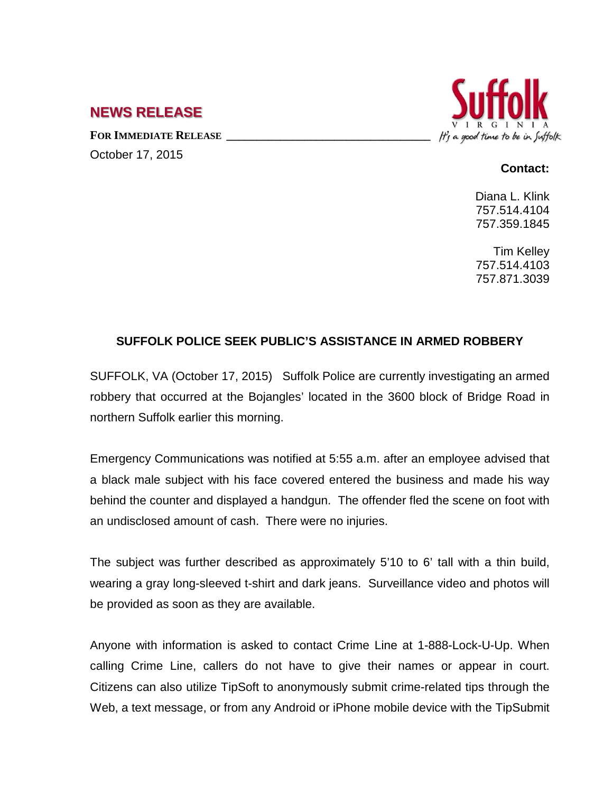## **NEWS RELEASE**

FOR **IMMEDIATE RELEASE** October 17, 2015



## **Contact:**

Diana L. Klink 757.514.4104 757.359.1845

Tim Kelley 757.514.4103 757.871.3039

## **SUFFOLK POLICE SEEK PUBLIC'S ASSISTANCE IN ARMED ROBBERY**

SUFFOLK, VA (October 17, 2015) Suffolk Police are currently investigating an armed robbery that occurred at the Bojangles' located in the 3600 block of Bridge Road in northern Suffolk earlier this morning.

Emergency Communications was notified at 5:55 a.m. after an employee advised that a black male subject with his face covered entered the business and made his way behind the counter and displayed a handgun. The offender fled the scene on foot with an undisclosed amount of cash. There were no injuries.

The subject was further described as approximately 5'10 to 6' tall with a thin build, wearing a gray long-sleeved t-shirt and dark jeans. Surveillance video and photos will be provided as soon as they are available.

Anyone with information is asked to contact Crime Line at 1-888-Lock-U-Up. When calling Crime Line, callers do not have to give their names or appear in court. Citizens can also utilize TipSoft to anonymously submit crime-related tips through the Web, a text message, or from any Android or iPhone mobile device with the [TipSubmit](http://www.tipsoft.com/index.asp?P=TipSubmitMobile)